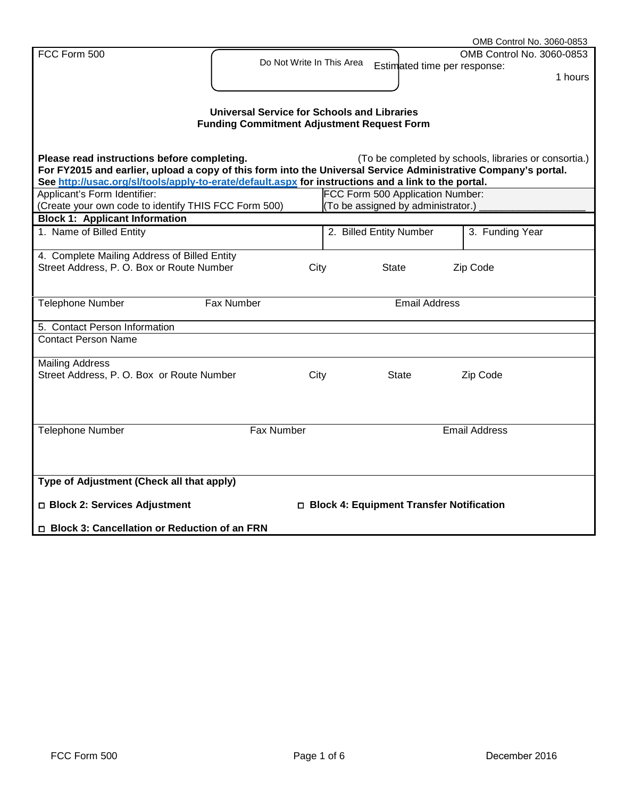|                                                                                                                |                                                    |  |                                            | OMB Control No. 3060-0853                             |
|----------------------------------------------------------------------------------------------------------------|----------------------------------------------------|--|--------------------------------------------|-------------------------------------------------------|
| FCC Form 500                                                                                                   |                                                    |  |                                            | OMB Control No. 3060-0853                             |
|                                                                                                                | Do Not Write In This Area                          |  | Estimated time per response:               |                                                       |
|                                                                                                                |                                                    |  |                                            | 1 hours                                               |
|                                                                                                                |                                                    |  |                                            |                                                       |
|                                                                                                                |                                                    |  |                                            |                                                       |
|                                                                                                                | <b>Universal Service for Schools and Libraries</b> |  |                                            |                                                       |
|                                                                                                                | <b>Funding Commitment Adjustment Request Form</b>  |  |                                            |                                                       |
|                                                                                                                |                                                    |  |                                            |                                                       |
| Please read instructions before completing.                                                                    |                                                    |  |                                            | (To be completed by schools, libraries or consortia.) |
| For FY2015 and earlier, upload a copy of this form into the Universal Service Administrative Company's portal. |                                                    |  |                                            |                                                       |
| See http://usac.org/sl/tools/apply-to-erate/default.aspx for instructions and a link to the portal.            |                                                    |  |                                            |                                                       |
| Applicant's Form Identifier:                                                                                   |                                                    |  | FCC Form 500 Application Number:           |                                                       |
| (Create your own code to identify THIS FCC Form 500)                                                           |                                                    |  | (To be assigned by administrator.)         |                                                       |
| <b>Block 1: Applicant Information</b>                                                                          |                                                    |  |                                            |                                                       |
| 1. Name of Billed Entity                                                                                       |                                                    |  | 2. Billed Entity Number                    | 3. Funding Year                                       |
|                                                                                                                |                                                    |  |                                            |                                                       |
| 4. Complete Mailing Address of Billed Entity                                                                   |                                                    |  |                                            |                                                       |
| Street Address, P. O. Box or Route Number                                                                      | City                                               |  | <b>State</b>                               | Zip Code                                              |
|                                                                                                                |                                                    |  |                                            |                                                       |
|                                                                                                                |                                                    |  |                                            |                                                       |
| Telephone Number                                                                                               | Fax Number                                         |  | <b>Email Address</b>                       |                                                       |
|                                                                                                                |                                                    |  |                                            |                                                       |
| 5. Contact Person Information                                                                                  |                                                    |  |                                            |                                                       |
| <b>Contact Person Name</b>                                                                                     |                                                    |  |                                            |                                                       |
| <b>Mailing Address</b>                                                                                         |                                                    |  |                                            |                                                       |
| Street Address, P. O. Box or Route Number                                                                      | City                                               |  | State                                      | Zip Code                                              |
|                                                                                                                |                                                    |  |                                            |                                                       |
|                                                                                                                |                                                    |  |                                            |                                                       |
|                                                                                                                |                                                    |  |                                            |                                                       |
|                                                                                                                |                                                    |  |                                            |                                                       |
| <b>Telephone Number</b>                                                                                        | Fax Number                                         |  |                                            | <b>Email Address</b>                                  |
|                                                                                                                |                                                    |  |                                            |                                                       |
|                                                                                                                |                                                    |  |                                            |                                                       |
|                                                                                                                |                                                    |  |                                            |                                                       |
| Type of Adjustment (Check all that apply)                                                                      |                                                    |  |                                            |                                                       |
|                                                                                                                |                                                    |  |                                            |                                                       |
| □ Block 2: Services Adjustment                                                                                 |                                                    |  | □ Block 4: Equipment Transfer Notification |                                                       |
| □ Block 3: Cancellation or Reduction of an FRN                                                                 |                                                    |  |                                            |                                                       |
|                                                                                                                |                                                    |  |                                            |                                                       |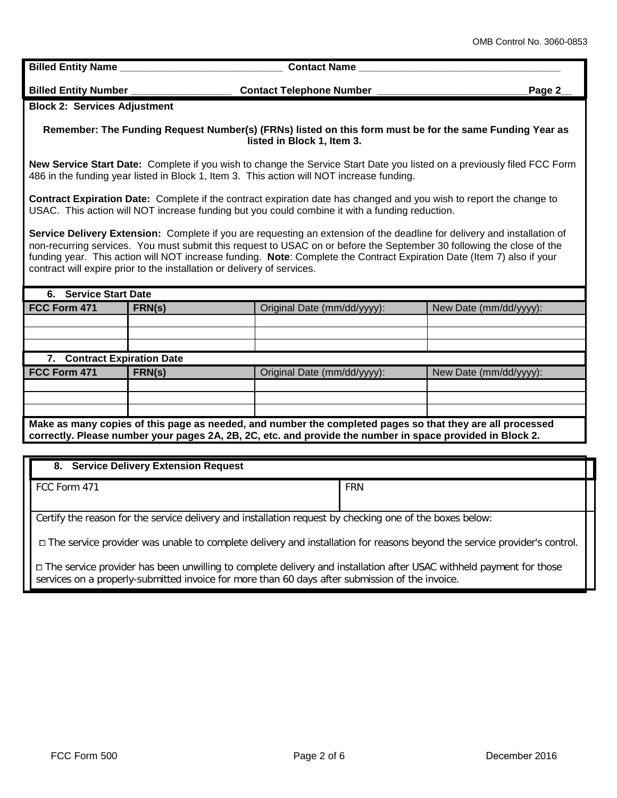**Billed Entity Name Contact Name Billed Entity Number \_\_\_\_\_\_\_\_\_\_\_\_\_\_\_\_\_\_ Contact Telephone Number \_\_\_\_\_\_\_\_\_\_\_\_\_\_\_\_\_\_\_\_\_\_\_\_\_\_\_Page 2\_\_ Block 2: Services Adjustment Remember: The Funding Request Number(s) (FRNs) listed on this form must be for the same Funding Year as listed in Block 1, Item 3. New Service Start Date:** Complete if you wish to change the Service Start Date you listed on a previously filed FCC Form 486 in the funding year listed in Block 1, Item 3. This action will NOT increase funding. **Contract Expiration Date:** Complete if the contract expiration date has changed and you wish to report the change to USAC. This action will NOT increase funding but you could combine it with a funding reduction. **Service Delivery Extension:** Complete if you are requesting an extension of the deadline for delivery and installation of non-recurring services. You must submit this request to USAC on or before the September 30 following the close of the funding year. This action will NOT increase funding. **Note**: Complete the Contract Expiration Date (Item 7) also if your contract will expire prior to the installation or delivery of services. **6. Service Start Date FCC Form 471 <b>FRN(s)** Criginal Date (mm/dd/yyyy): New Date (mm/dd/yyyy): **7. Contract Expiration Date FCC Form 471 FRN(s)** Criginal Date (mm/dd/yyyy): New Date (mm/dd/yyyy): **Make as many copies of this page as needed, and number the completed pages so that they are all processed correctly. Please number your pages 2A, 2B, 2C, etc. and provide the number in space provided in Block 2.**

| 8. Service Delivery Extension Request                                                                                      |            |  |  |
|----------------------------------------------------------------------------------------------------------------------------|------------|--|--|
| FCC Form 471                                                                                                               | <b>FRN</b> |  |  |
| Certify the reason for the service delivery and installation request by checking one of the boxes below:                   |            |  |  |
| □ The service provider was unable to complete delivery and installation for reasons beyond the service provider's control. |            |  |  |

□ The service provider has been unwilling to complete delivery and installation after USAC withheld payment for those services on a properly-submitted invoice for more than 60 days after submission of the invoice.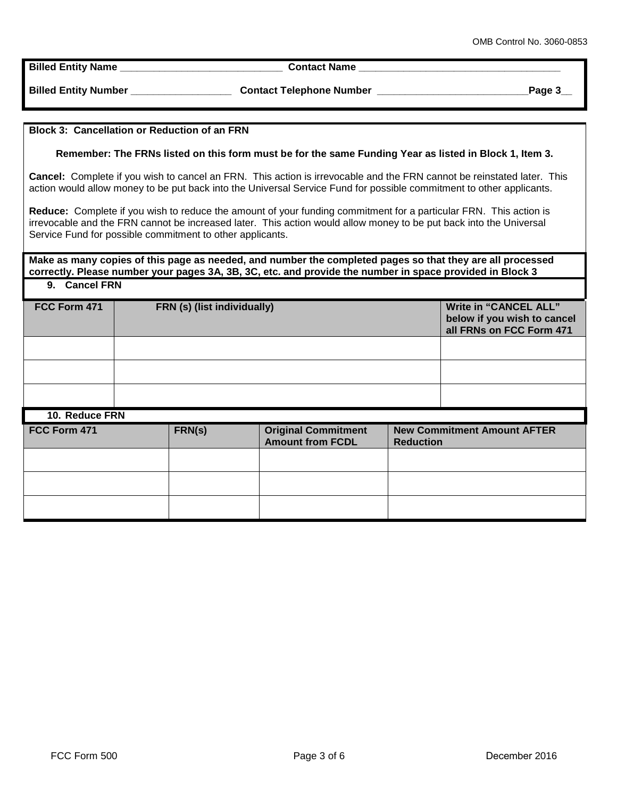**Billed Entity Name \_\_\_\_\_\_\_\_\_\_\_\_\_\_\_\_\_\_\_\_\_\_\_\_\_\_\_\_\_ Contact Name \_\_\_\_\_\_\_\_\_\_\_\_\_\_\_\_\_\_\_\_\_\_\_\_\_\_\_\_\_\_\_\_\_\_\_\_**

**Billed Entity Number Contact Telephone Number 2004** Page 3

## **Block 3: Cancellation or Reduction of an FRN**

**Remember: The FRNs listed on this form must be for the same Funding Year as listed in Block 1, Item 3.**

**Cancel:** Complete if you wish to cancel an FRN. This action is irrevocable and the FRN cannot be reinstated later. This action would allow money to be put back into the Universal Service Fund for possible commitment to other applicants.

**Reduce:** Complete if you wish to reduce the amount of your funding commitment for a particular FRN. This action is irrevocable and the FRN cannot be increased later. This action would allow money to be put back into the Universal Service Fund for possible commitment to other applicants.

**Make as many copies of this page as needed, and number the completed pages so that they are all processed correctly. Please number your pages 3A, 3B, 3C, etc. and provide the number in space provided in Block 3 9. Cancel FRN**

| FCC Form 471   |  | FRN (s) (list individually) |                                                       |                  | <b>Write in "CANCEL ALL"</b><br>below if you wish to cancel<br>all FRNs on FCC Form 471 |
|----------------|--|-----------------------------|-------------------------------------------------------|------------------|-----------------------------------------------------------------------------------------|
|                |  |                             |                                                       |                  |                                                                                         |
|                |  |                             |                                                       |                  |                                                                                         |
|                |  |                             |                                                       |                  |                                                                                         |
| 10. Reduce FRN |  |                             |                                                       |                  |                                                                                         |
| FCC Form 471   |  | FRN(s)                      | <b>Original Commitment</b><br><b>Amount from FCDL</b> | <b>Reduction</b> | <b>New Commitment Amount AFTER</b>                                                      |
|                |  |                             |                                                       |                  |                                                                                         |
|                |  |                             |                                                       |                  |                                                                                         |
|                |  |                             |                                                       |                  |                                                                                         |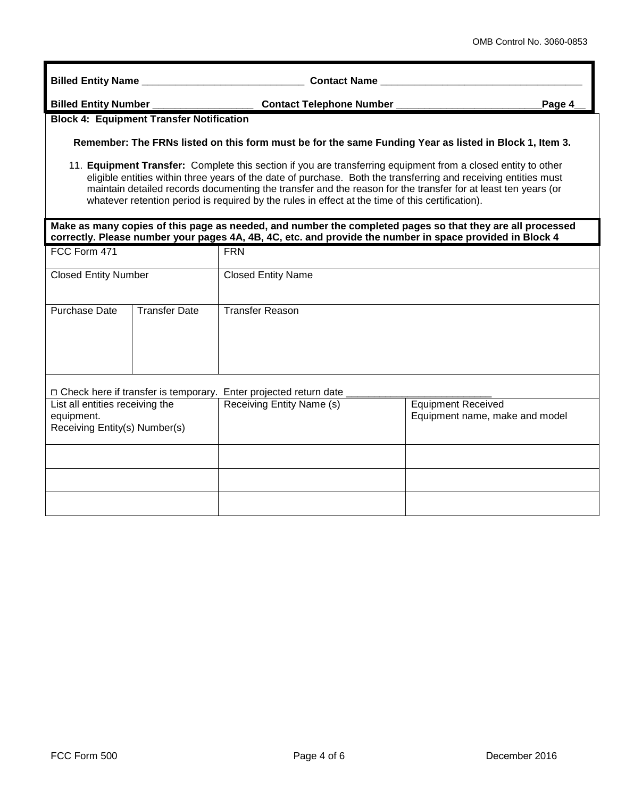**Billed Entity Name \_\_\_\_\_\_\_\_\_\_\_\_\_\_\_\_\_\_\_\_\_\_\_\_\_\_\_\_\_ Contact Name \_\_\_\_\_\_\_\_\_\_\_\_\_\_\_\_\_\_\_\_\_\_\_\_\_\_\_\_\_\_\_\_\_\_\_\_**

**Billed Entity Number \_\_\_\_\_\_\_\_\_\_\_\_\_\_\_\_\_\_ Contact Telephone Number \_\_\_\_\_\_\_\_\_\_\_\_\_\_\_\_\_\_\_\_\_\_\_\_\_\_Page 4\_\_**

## **Block 4: Equipment Transfer Notification**

**Remember: The FRNs listed on this form must be for the same Funding Year as listed in Block 1, Item 3.**

11. **Equipment Transfer:** Complete this section if you are transferring equipment from a closed entity to other eligible entities within three years of the date of purchase. Both the transferring and receiving entities must maintain detailed records documenting the transfer and the reason for the transfer for at least ten years (or whatever retention period is required by the rules in effect at the time of this certification).

## **Make as many copies of this page as needed, and number the completed pages so that they are all processed correctly. Please number your pages 4A, 4B, 4C, etc. and provide the number in space provided in Block 4**

| FCC Form 471                                                                   |                      | <b>FRN</b>                                                         |                                                             |  |
|--------------------------------------------------------------------------------|----------------------|--------------------------------------------------------------------|-------------------------------------------------------------|--|
| <b>Closed Entity Number</b>                                                    |                      | <b>Closed Entity Name</b>                                          |                                                             |  |
| Purchase Date                                                                  | <b>Transfer Date</b> | <b>Transfer Reason</b>                                             |                                                             |  |
|                                                                                |                      | □ Check here if transfer is temporary. Enter projected return date |                                                             |  |
| List all entities receiving the<br>equipment.<br>Receiving Entity(s) Number(s) |                      | Receiving Entity Name (s)                                          | <b>Equipment Received</b><br>Equipment name, make and model |  |
|                                                                                |                      |                                                                    |                                                             |  |
|                                                                                |                      |                                                                    |                                                             |  |
|                                                                                |                      |                                                                    |                                                             |  |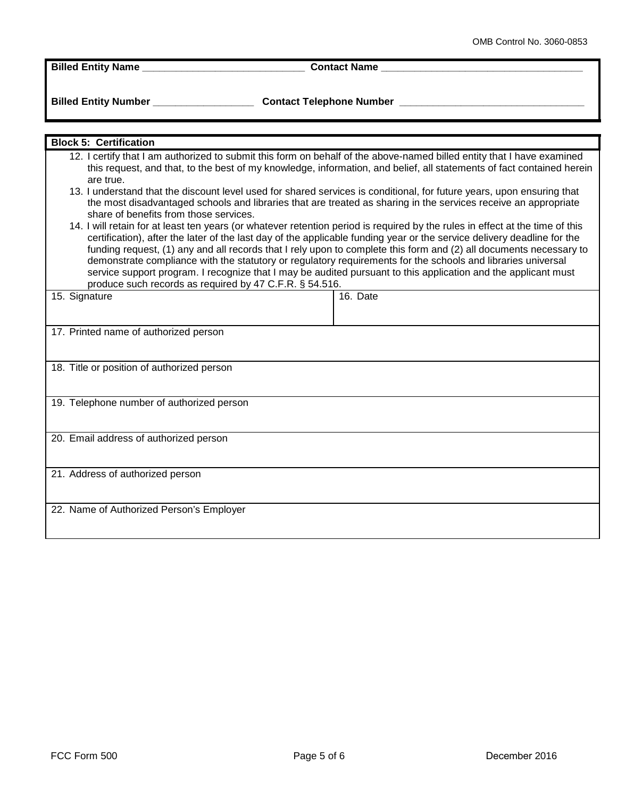**Billed Entity Name \_\_\_\_\_\_\_\_\_\_\_\_\_\_\_\_\_\_\_\_\_\_\_\_\_\_\_\_\_ Contact Name \_\_\_\_\_\_\_\_\_\_\_\_\_\_\_\_\_\_\_\_\_\_\_\_\_\_\_\_\_\_\_\_\_\_\_\_**

**Billed Entity Number \_\_\_\_\_\_\_\_\_\_\_\_\_\_\_\_\_\_ Contact Telephone Number \_\_\_\_\_\_\_\_\_\_\_\_\_\_\_\_\_\_\_\_\_\_\_\_\_\_\_\_\_\_\_\_\_**

| <b>Block 5: Certification</b>                                                                                                                                                                                                                                                                                                                                                                                                                                                                                                                                                                                                                                                                                                                                                                                                                                                                                                                                                                                                                                                                                                                                                                                                      |          |  |  |
|------------------------------------------------------------------------------------------------------------------------------------------------------------------------------------------------------------------------------------------------------------------------------------------------------------------------------------------------------------------------------------------------------------------------------------------------------------------------------------------------------------------------------------------------------------------------------------------------------------------------------------------------------------------------------------------------------------------------------------------------------------------------------------------------------------------------------------------------------------------------------------------------------------------------------------------------------------------------------------------------------------------------------------------------------------------------------------------------------------------------------------------------------------------------------------------------------------------------------------|----------|--|--|
|                                                                                                                                                                                                                                                                                                                                                                                                                                                                                                                                                                                                                                                                                                                                                                                                                                                                                                                                                                                                                                                                                                                                                                                                                                    |          |  |  |
| 12. I certify that I am authorized to submit this form on behalf of the above-named billed entity that I have examined<br>this request, and that, to the best of my knowledge, information, and belief, all statements of fact contained herein<br>are true.<br>13. I understand that the discount level used for shared services is conditional, for future years, upon ensuring that<br>the most disadvantaged schools and libraries that are treated as sharing in the services receive an appropriate<br>share of benefits from those services.<br>14. I will retain for at least ten years (or whatever retention period is required by the rules in effect at the time of this<br>certification), after the later of the last day of the applicable funding year or the service delivery deadline for the<br>funding request, (1) any and all records that I rely upon to complete this form and (2) all documents necessary to<br>demonstrate compliance with the statutory or regulatory requirements for the schools and libraries universal<br>service support program. I recognize that I may be audited pursuant to this application and the applicant must<br>produce such records as required by 47 C.F.R. § 54.516. |          |  |  |
| 15. Signature                                                                                                                                                                                                                                                                                                                                                                                                                                                                                                                                                                                                                                                                                                                                                                                                                                                                                                                                                                                                                                                                                                                                                                                                                      | 16. Date |  |  |
|                                                                                                                                                                                                                                                                                                                                                                                                                                                                                                                                                                                                                                                                                                                                                                                                                                                                                                                                                                                                                                                                                                                                                                                                                                    |          |  |  |
| 17. Printed name of authorized person                                                                                                                                                                                                                                                                                                                                                                                                                                                                                                                                                                                                                                                                                                                                                                                                                                                                                                                                                                                                                                                                                                                                                                                              |          |  |  |
|                                                                                                                                                                                                                                                                                                                                                                                                                                                                                                                                                                                                                                                                                                                                                                                                                                                                                                                                                                                                                                                                                                                                                                                                                                    |          |  |  |
| 18. Title or position of authorized person                                                                                                                                                                                                                                                                                                                                                                                                                                                                                                                                                                                                                                                                                                                                                                                                                                                                                                                                                                                                                                                                                                                                                                                         |          |  |  |
| 19. Telephone number of authorized person                                                                                                                                                                                                                                                                                                                                                                                                                                                                                                                                                                                                                                                                                                                                                                                                                                                                                                                                                                                                                                                                                                                                                                                          |          |  |  |
|                                                                                                                                                                                                                                                                                                                                                                                                                                                                                                                                                                                                                                                                                                                                                                                                                                                                                                                                                                                                                                                                                                                                                                                                                                    |          |  |  |
| 20. Email address of authorized person                                                                                                                                                                                                                                                                                                                                                                                                                                                                                                                                                                                                                                                                                                                                                                                                                                                                                                                                                                                                                                                                                                                                                                                             |          |  |  |
|                                                                                                                                                                                                                                                                                                                                                                                                                                                                                                                                                                                                                                                                                                                                                                                                                                                                                                                                                                                                                                                                                                                                                                                                                                    |          |  |  |
| 21. Address of authorized person                                                                                                                                                                                                                                                                                                                                                                                                                                                                                                                                                                                                                                                                                                                                                                                                                                                                                                                                                                                                                                                                                                                                                                                                   |          |  |  |
|                                                                                                                                                                                                                                                                                                                                                                                                                                                                                                                                                                                                                                                                                                                                                                                                                                                                                                                                                                                                                                                                                                                                                                                                                                    |          |  |  |
| 22. Name of Authorized Person's Employer                                                                                                                                                                                                                                                                                                                                                                                                                                                                                                                                                                                                                                                                                                                                                                                                                                                                                                                                                                                                                                                                                                                                                                                           |          |  |  |
|                                                                                                                                                                                                                                                                                                                                                                                                                                                                                                                                                                                                                                                                                                                                                                                                                                                                                                                                                                                                                                                                                                                                                                                                                                    |          |  |  |
|                                                                                                                                                                                                                                                                                                                                                                                                                                                                                                                                                                                                                                                                                                                                                                                                                                                                                                                                                                                                                                                                                                                                                                                                                                    |          |  |  |